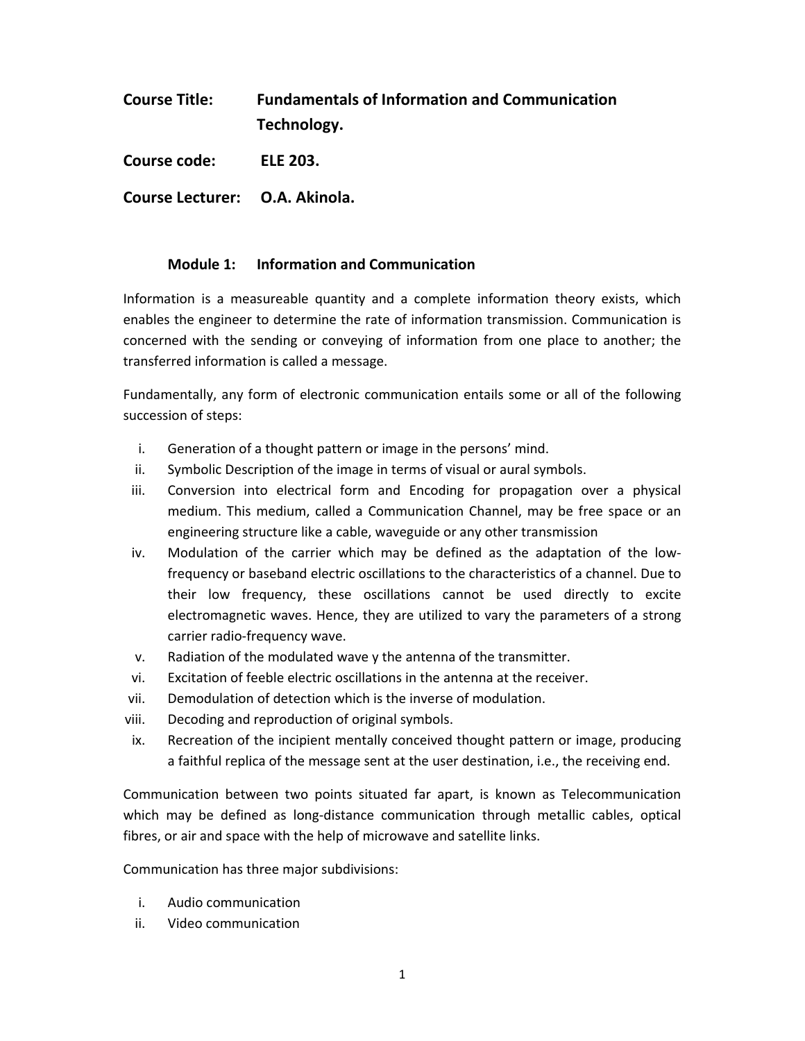| <b>Course Title:</b> | <b>Fundamentals of Information and Communication</b> |
|----------------------|------------------------------------------------------|
|                      | Technology.                                          |
|                      |                                                      |

**Course code: ELE 203.** 

**Course Lecturer: O.A. Akinola.** 

## **Module 1: Information and Communication**

Information is a measureable quantity and a complete information theory exists, which enables the engineer to determine the rate of information transmission. Communication is concerned with the sending or conveying of information from one place to another; the transferred information is called a message.

Fundamentally, any form of electronic communication entails some or all of the following succession of steps:

- i. Generation of a thought pattern or image in the persons' mind.
- ii. Symbolic Description of the image in terms of visual or aural symbols.
- iii. Conversion into electrical form and Encoding for propagation over a physical medium. This medium, called a Communication Channel, may be free space or an engineering structure like a cable, waveguide or any other transmission
- iv. Modulation of the carrier which may be defined as the adaptation of the lowfrequency or baseband electric oscillations to the characteristics of a channel. Due to their low frequency, these oscillations cannot be used directly to excite electromagnetic waves. Hence, they are utilized to vary the parameters of a strong carrier radio-frequency wave.
- v. Radiation of the modulated wave y the antenna of the transmitter.
- vi. Excitation of feeble electric oscillations in the antenna at the receiver.
- vii. Demodulation of detection which is the inverse of modulation.
- viii. Decoding and reproduction of original symbols.
- ix. Recreation of the incipient mentally conceived thought pattern or image, producing a faithful replica of the message sent at the user destination, i.e., the receiving end.

Communication between two points situated far apart, is known as Telecommunication which may be defined as long-distance communication through metallic cables, optical fibres, or air and space with the help of microwave and satellite links.

Communication has three major subdivisions:

- i. Audio communication
- ii. Video communication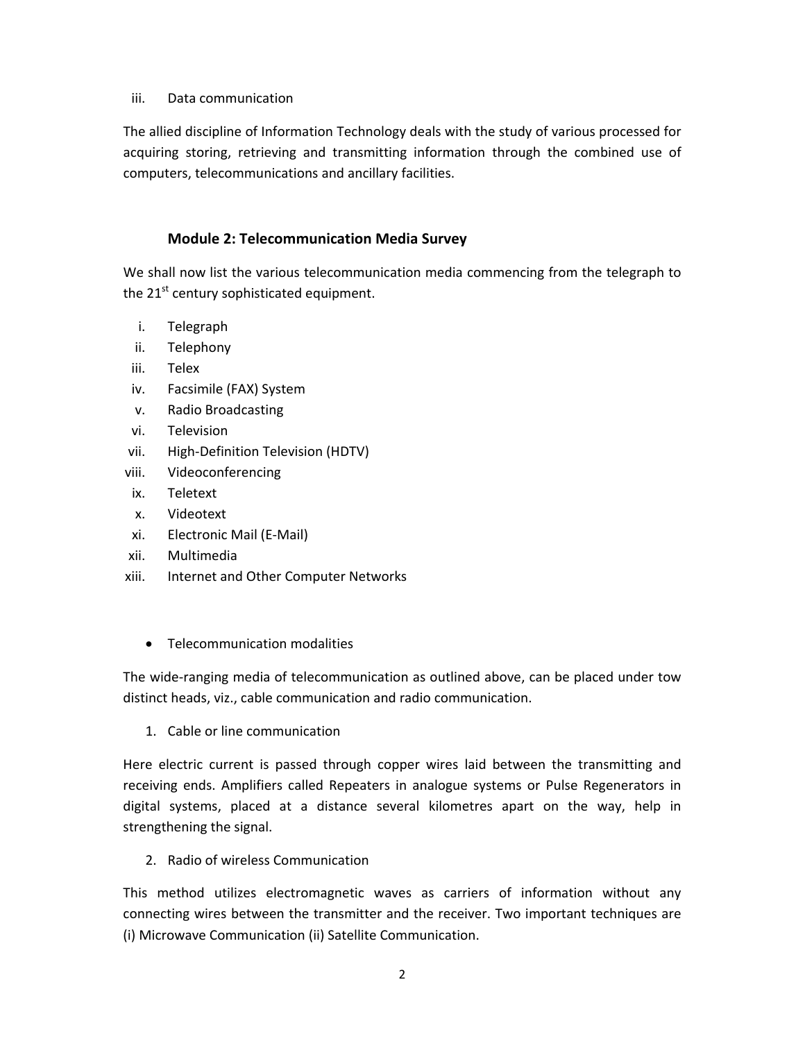### iii. Data communication

The allied discipline of Information Technology deals with the study of various processed for acquiring storing, retrieving and transmitting information through the combined use of computers, telecommunications and ancillary facilities.

# **Module 2: Telecommunication Media Survey**

We shall now list the various telecommunication media commencing from the telegraph to the  $21<sup>st</sup>$  century sophisticated equipment.

- i. Telegraph
- ii. Telephony
- iii. Telex
- iv. Facsimile (FAX) System
- v. Radio Broadcasting
- vi. Television
- vii. High-Definition Television (HDTV)
- viii. Videoconferencing
- ix. Teletext
- x. Videotext
- xi. Electronic Mail (E-Mail)
- xii. Multimedia
- xiii. Internet and Other Computer Networks
	- Telecommunication modalities

The wide-ranging media of telecommunication as outlined above, can be placed under tow distinct heads, viz., cable communication and radio communication.

1. Cable or line communication

Here electric current is passed through copper wires laid between the transmitting and receiving ends. Amplifiers called Repeaters in analogue systems or Pulse Regenerators in digital systems, placed at a distance several kilometres apart on the way, help in strengthening the signal.

2. Radio of wireless Communication

This method utilizes electromagnetic waves as carriers of information without any connecting wires between the transmitter and the receiver. Two important techniques are (i) Microwave Communication (ii) Satellite Communication.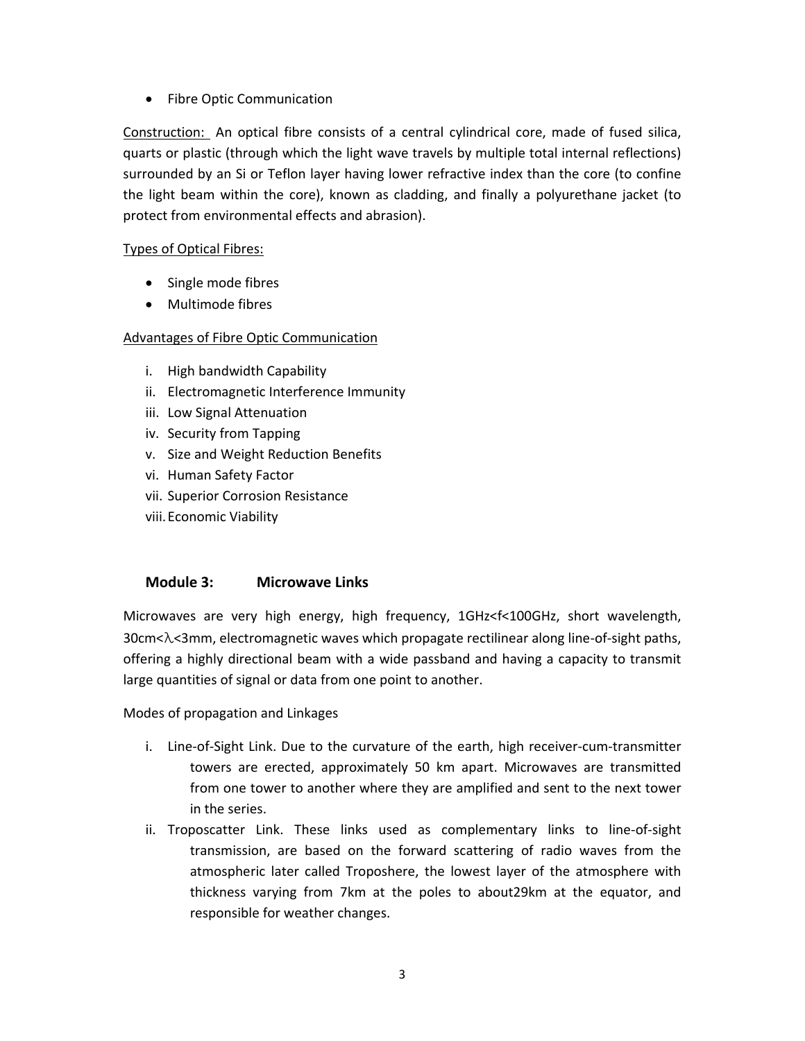• Fibre Optic Communication

Construction: An optical fibre consists of a central cylindrical core, made of fused silica, quarts or plastic (through which the light wave travels by multiple total internal reflections) surrounded by an Si or Teflon layer having lower refractive index than the core (to confine the light beam within the core), known as cladding, and finally a polyurethane jacket (to protect from environmental effects and abrasion).

## Types of Optical Fibres:

- Single mode fibres
- Multimode fibres

## Advantages of Fibre Optic Communication

- i. High bandwidth Capability
- ii. Electromagnetic Interference Immunity
- iii. Low Signal Attenuation
- iv. Security from Tapping
- v. Size and Weight Reduction Benefits
- vi. Human Safety Factor
- vii. Superior Corrosion Resistance
- viii.Economic Viability

## **Module 3: Microwave Links**

Microwaves are very high energy, high frequency, 1GHz<f<100GHz, short wavelength, 30cm<λ<3mm, electromagnetic waves which propagate rectilinear along line-of-sight paths, offering a highly directional beam with a wide passband and having a capacity to transmit large quantities of signal or data from one point to another.

Modes of propagation and Linkages

- i. Line-of-Sight Link. Due to the curvature of the earth, high receiver-cum-transmitter towers are erected, approximately 50 km apart. Microwaves are transmitted from one tower to another where they are amplified and sent to the next tower in the series.
- ii. Troposcatter Link. These links used as complementary links to line-of-sight transmission, are based on the forward scattering of radio waves from the atmospheric later called Troposhere, the lowest layer of the atmosphere with thickness varying from 7km at the poles to about29km at the equator, and responsible for weather changes.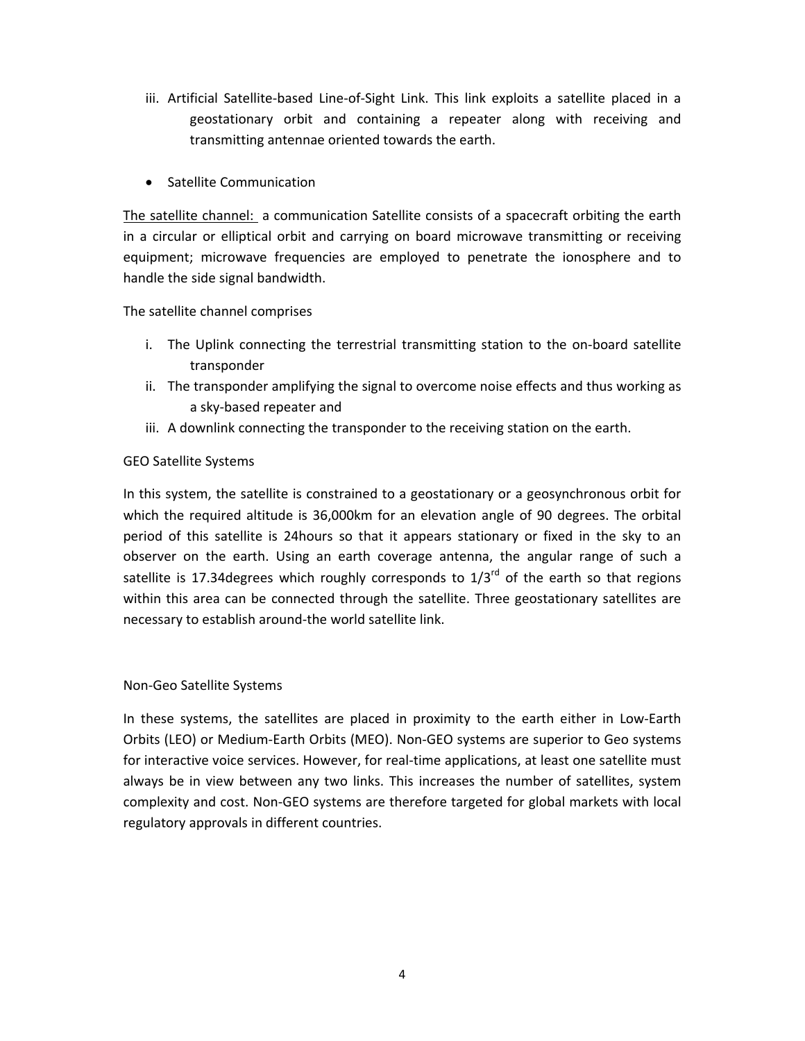- iii. Artificial Satellite-based Line-of-Sight Link. This link exploits a satellite placed in a geostationary orbit and containing a repeater along with receiving and transmitting antennae oriented towards the earth.
- Satellite Communication

The satellite channel: a communication Satellite consists of a spacecraft orbiting the earth in a circular or elliptical orbit and carrying on board microwave transmitting or receiving equipment; microwave frequencies are employed to penetrate the ionosphere and to handle the side signal bandwidth.

The satellite channel comprises

- i. The Uplink connecting the terrestrial transmitting station to the on-board satellite transponder
- ii. The transponder amplifying the signal to overcome noise effects and thus working as a sky-based repeater and
- iii. A downlink connecting the transponder to the receiving station on the earth.

## GEO Satellite Systems

In this system, the satellite is constrained to a geostationary or a geosynchronous orbit for which the required altitude is 36,000km for an elevation angle of 90 degrees. The orbital period of this satellite is 24hours so that it appears stationary or fixed in the sky to an observer on the earth. Using an earth coverage antenna, the angular range of such a satellite is 17.34 degrees which roughly corresponds to  $1/3^{rd}$  of the earth so that regions within this area can be connected through the satellite. Three geostationary satellites are necessary to establish around-the world satellite link.

#### Non-Geo Satellite Systems

In these systems, the satellites are placed in proximity to the earth either in Low-Earth Orbits (LEO) or Medium-Earth Orbits (MEO). Non-GEO systems are superior to Geo systems for interactive voice services. However, for real-time applications, at least one satellite must always be in view between any two links. This increases the number of satellites, system complexity and cost. Non-GEO systems are therefore targeted for global markets with local regulatory approvals in different countries.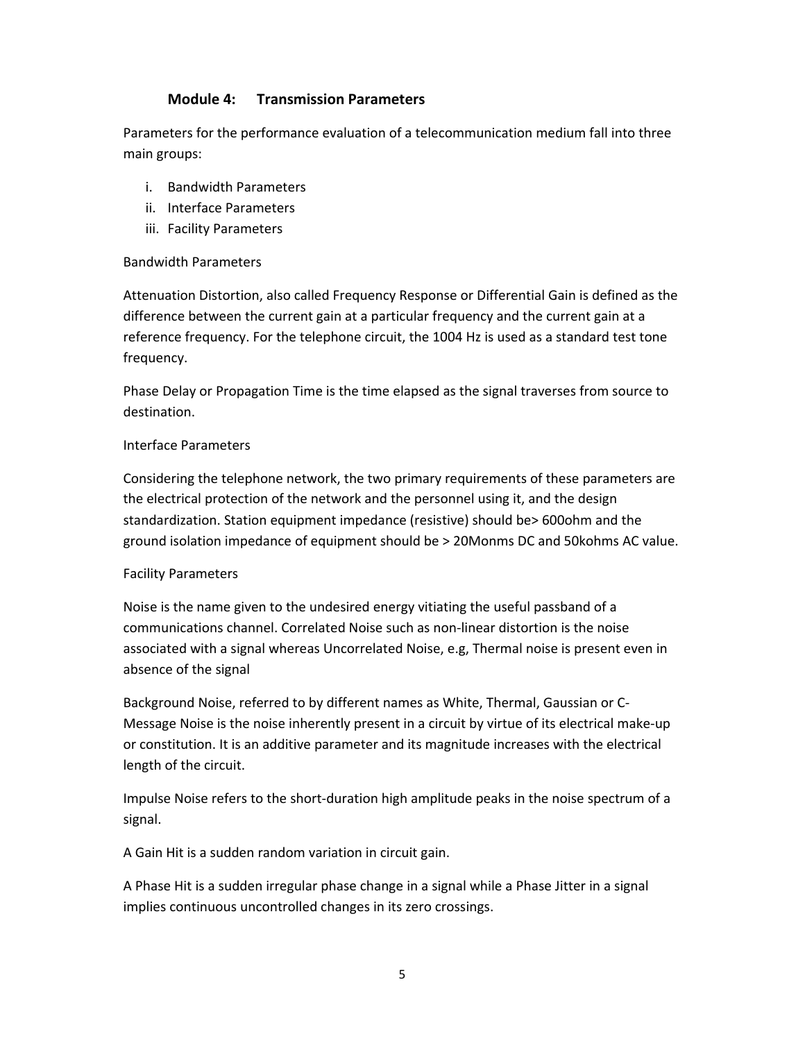### **Module 4: Transmission Parameters**

Parameters for the performance evaluation of a telecommunication medium fall into three main groups:

- i. Bandwidth Parameters
- ii. Interface Parameters
- iii. Facility Parameters

#### Bandwidth Parameters

Attenuation Distortion, also called Frequency Response or Differential Gain is defined as the difference between the current gain at a particular frequency and the current gain at a reference frequency. For the telephone circuit, the 1004 Hz is used as a standard test tone frequency.

Phase Delay or Propagation Time is the time elapsed as the signal traverses from source to destination.

#### Interface Parameters

Considering the telephone network, the two primary requirements of these parameters are the electrical protection of the network and the personnel using it, and the design standardization. Station equipment impedance (resistive) should be> 600ohm and the ground isolation impedance of equipment should be > 20Monms DC and 50kohms AC value.

#### Facility Parameters

Noise is the name given to the undesired energy vitiating the useful passband of a communications channel. Correlated Noise such as non-linear distortion is the noise associated with a signal whereas Uncorrelated Noise, e.g, Thermal noise is present even in absence of the signal

Background Noise, referred to by different names as White, Thermal, Gaussian or C-Message Noise is the noise inherently present in a circuit by virtue of its electrical make-up or constitution. It is an additive parameter and its magnitude increases with the electrical length of the circuit.

Impulse Noise refers to the short-duration high amplitude peaks in the noise spectrum of a signal.

A Gain Hit is a sudden random variation in circuit gain.

A Phase Hit is a sudden irregular phase change in a signal while a Phase Jitter in a signal implies continuous uncontrolled changes in its zero crossings.